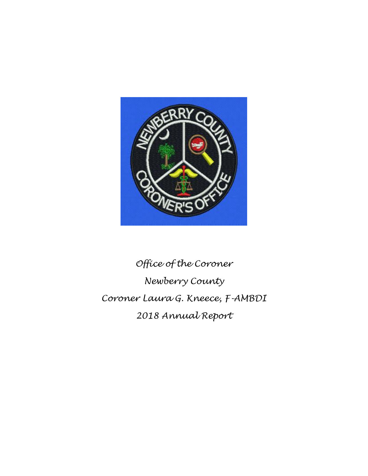

# *Office of the Coroner Newberry County Coroner Laura G. Kneece, F-AMBDI 2018 Annual Report*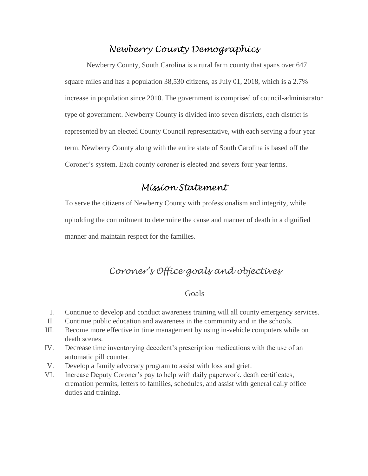# *Newberry County Demographics*

Newberry County, South Carolina is a rural farm county that spans over 647 square miles and has a population 38,530 citizens, as July 01, 2018, which is a 2.7% increase in population since 2010. The government is comprised of council-administrator type of government. Newberry County is divided into seven districts, each district is represented by an elected County Council representative, with each serving a four year term. Newberry County along with the entire state of South Carolina is based off the Coroner's system. Each county coroner is elected and severs four year terms.

## *Mission Statement*

To serve the citizens of Newberry County with professionalism and integrity, while upholding the commitment to determine the cause and manner of death in a dignified manner and maintain respect for the families.

# *Coroner's Office goals and objectives*

#### Goals

- I. Continue to develop and conduct awareness training will all county emergency services.
- II. Continue public education and awareness in the community and in the schools.
- III. Become more effective in time management by using in-vehicle computers while on death scenes.
- IV. Decrease time inventorying decedent's prescription medications with the use of an automatic pill counter.
- V. Develop a family advocacy program to assist with loss and grief.
- VI. Increase Deputy Coroner's pay to help with daily paperwork, death certificates, cremation permits, letters to families, schedules, and assist with general daily office duties and training.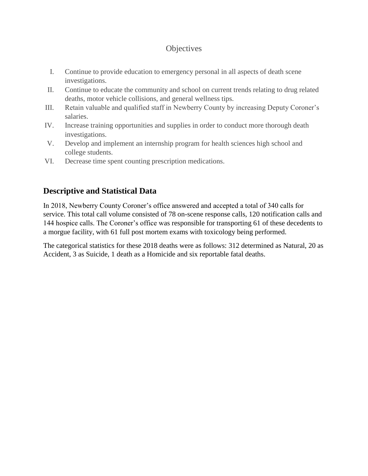### **Objectives**

- I. Continue to provide education to emergency personal in all aspects of death scene investigations.
- II. Continue to educate the community and school on current trends relating to drug related deaths, motor vehicle collisions, and general wellness tips.
- III. Retain valuable and qualified staff in Newberry County by increasing Deputy Coroner's salaries.
- IV. Increase training opportunities and supplies in order to conduct more thorough death investigations.
- V. Develop and implement an internship program for health sciences high school and college students.
- VI. Decrease time spent counting prescription medications.

# **Descriptive and Statistical Data**

In 2018, Newberry County Coroner's office answered and accepted a total of 340 calls for service. This total call volume consisted of 78 on-scene response calls, 120 notification calls and 144 hospice calls. The Coroner's office was responsible for transporting 61 of these decedents to a morgue facility, with 61 full post mortem exams with toxicology being performed.

The categorical statistics for these 2018 deaths were as follows: 312 determined as Natural, 20 as Accident, 3 as Suicide, 1 death as a Homicide and six reportable fatal deaths.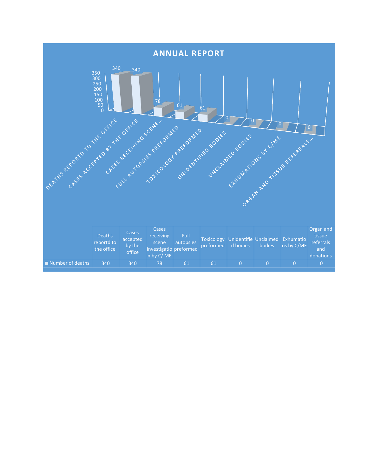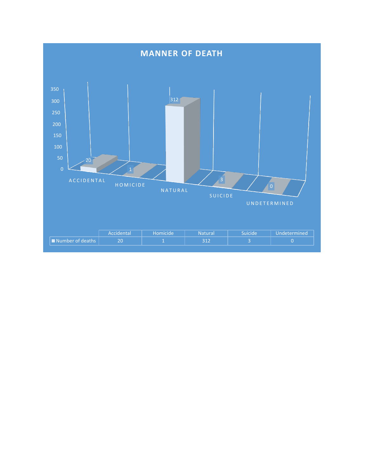